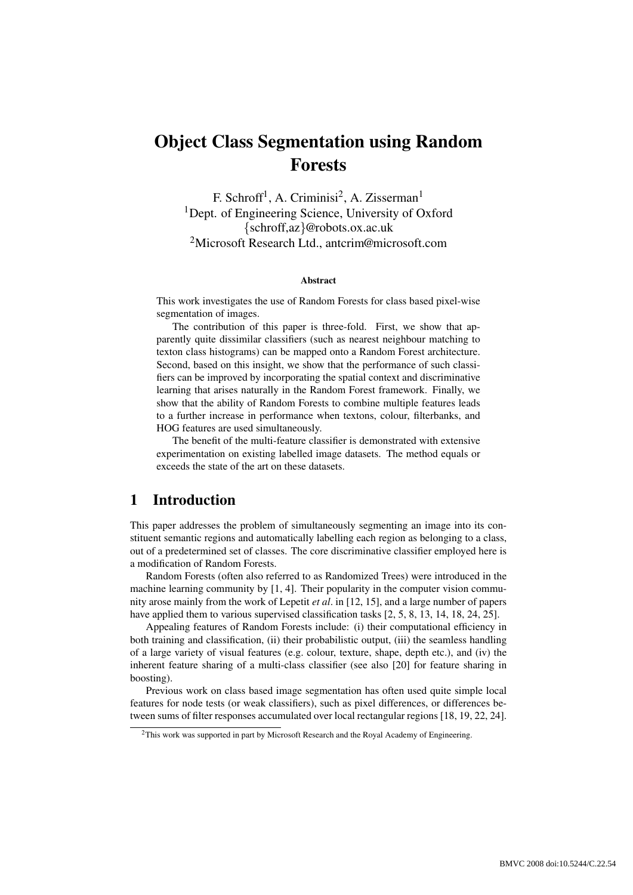# Object Class Segmentation using Random Forests

F. Schroff<sup>1</sup>, A. Criminisi<sup>2</sup>, A. Zisserman<sup>1</sup> <sup>1</sup>Dept. of Engineering Science, University of Oxford {schroff,az}@robots.ox.ac.uk <sup>2</sup>Microsoft Research Ltd., antcrim@microsoft.com

#### Abstract

This work investigates the use of Random Forests for class based pixel-wise segmentation of images.

The contribution of this paper is three-fold. First, we show that apparently quite dissimilar classifiers (such as nearest neighbour matching to texton class histograms) can be mapped onto a Random Forest architecture. Second, based on this insight, we show that the performance of such classifiers can be improved by incorporating the spatial context and discriminative learning that arises naturally in the Random Forest framework. Finally, we show that the ability of Random Forests to combine multiple features leads to a further increase in performance when textons, colour, filterbanks, and HOG features are used simultaneously.

The benefit of the multi-feature classifier is demonstrated with extensive experimentation on existing labelled image datasets. The method equals or exceeds the state of the art on these datasets.

## 1 Introduction

This paper addresses the problem of simultaneously segmenting an image into its constituent semantic regions and automatically labelling each region as belonging to a class, out of a predetermined set of classes. The core discriminative classifier employed here is a modification of Random Forests.

Random Forests (often also referred to as Randomized Trees) were introduced in the machine learning community by [1, 4]. Their popularity in the computer vision community arose mainly from the work of Lepetit *et al*. in [12, 15], and a large number of papers have applied them to various supervised classification tasks [2, 5, 8, 13, 14, 18, 24, 25].

Appealing features of Random Forests include: (i) their computational efficiency in both training and classification, (ii) their probabilistic output, (iii) the seamless handling of a large variety of visual features (e.g. colour, texture, shape, depth etc.), and (iv) the inherent feature sharing of a multi-class classifier (see also [20] for feature sharing in boosting).

Previous work on class based image segmentation has often used quite simple local features for node tests (or weak classifiers), such as pixel differences, or differences between sums of filter responses accumulated over local rectangular regions [18, 19, 22, 24].

<sup>&</sup>lt;sup>2</sup>This work was supported in part by Microsoft Research and the Royal Academy of Engineering.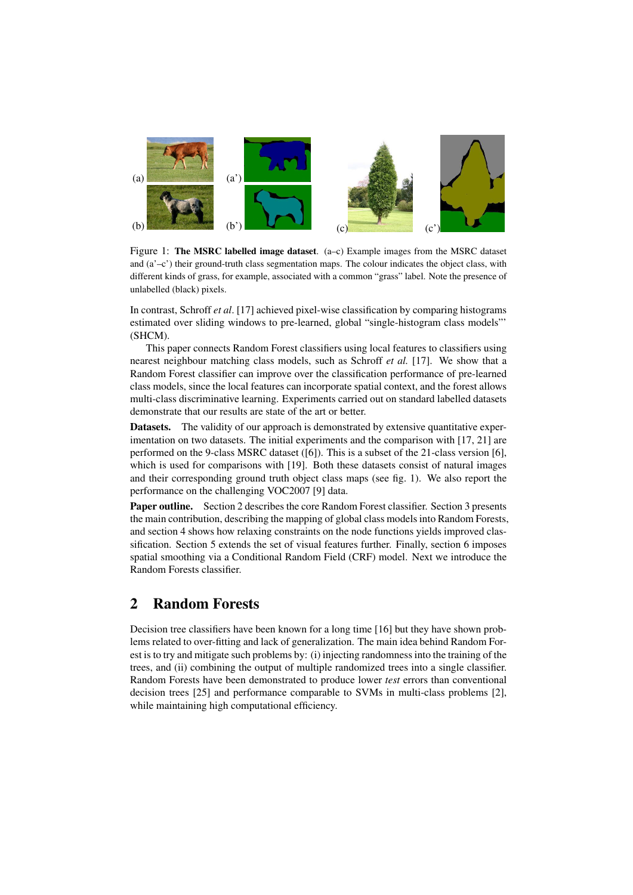

Figure 1: The MSRC labelled image dataset. (a–c) Example images from the MSRC dataset and  $(a'-c')$  their ground-truth class segmentation maps. The colour indicates the object class, with different kinds of grass, for example, associated with a common "grass" label. Note the presence of unlabelled (black) pixels.

In contrast, Schroff *et al*. [17] achieved pixel-wise classification by comparing histograms estimated over sliding windows to pre-learned, global "single-histogram class models"' (SHCM).

This paper connects Random Forest classifiers using local features to classifiers using nearest neighbour matching class models, such as Schroff *et al.* [17]. We show that a Random Forest classifier can improve over the classification performance of pre-learned class models, since the local features can incorporate spatial context, and the forest allows multi-class discriminative learning. Experiments carried out on standard labelled datasets demonstrate that our results are state of the art or better.

**Datasets.** The validity of our approach is demonstrated by extensive quantitative experimentation on two datasets. The initial experiments and the comparison with [17, 21] are performed on the 9-class MSRC dataset ([6]). This is a subset of the 21-class version [6], which is used for comparisons with [19]. Both these datasets consist of natural images and their corresponding ground truth object class maps (see fig. 1). We also report the performance on the challenging VOC2007 [9] data.

Paper outline. Section 2 describes the core Random Forest classifier. Section 3 presents the main contribution, describing the mapping of global class models into Random Forests, and section 4 shows how relaxing constraints on the node functions yields improved classification. Section 5 extends the set of visual features further. Finally, section 6 imposes spatial smoothing via a Conditional Random Field (CRF) model. Next we introduce the Random Forests classifier.

## 2 Random Forests

Decision tree classifiers have been known for a long time [16] but they have shown problems related to over-fitting and lack of generalization. The main idea behind Random Forest is to try and mitigate such problems by: (i) injecting randomness into the training of the trees, and (ii) combining the output of multiple randomized trees into a single classifier. Random Forests have been demonstrated to produce lower *test* errors than conventional decision trees [25] and performance comparable to SVMs in multi-class problems [2], while maintaining high computational efficiency.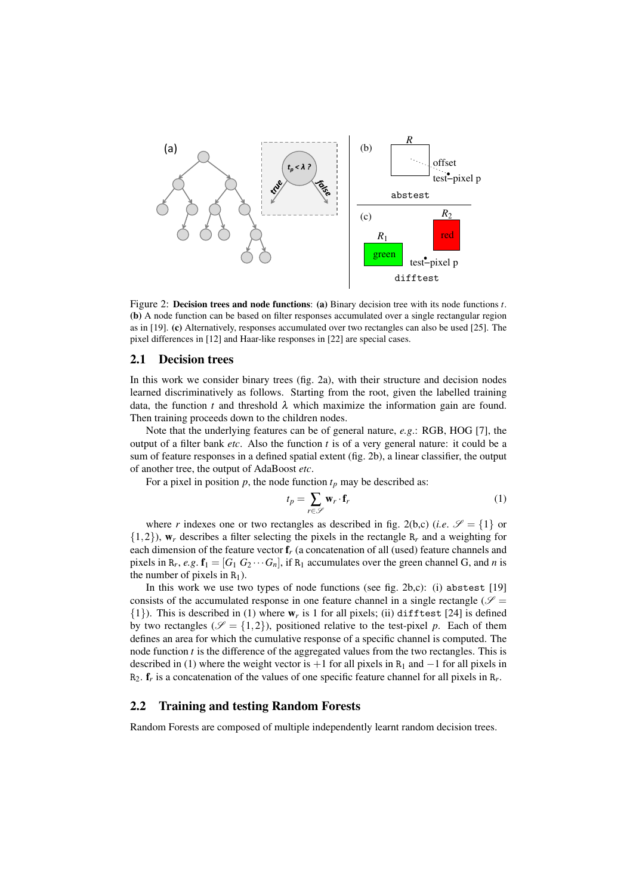

Figure 2: Decision trees and node functions: (a) Binary decision tree with its node functions *t*. (b) A node function can be based on filter responses accumulated over a single rectangular region as in [19]. (c) Alternatively, responses accumulated over two rectangles can also be used [25]. The pixel differences in [12] and Haar-like responses in [22] are special cases.

#### 2.1 Decision trees

In this work we consider binary trees (fig. 2a), with their structure and decision nodes learned discriminatively as follows. Starting from the root, given the labelled training data, the function *t* and threshold  $\lambda$  which maximize the information gain are found. Then training proceeds down to the children nodes.

Note that the underlying features can be of general nature, *e.g*.: RGB, HOG [7], the output of a filter bank *etc*. Also the function *t* is of a very general nature: it could be a sum of feature responses in a defined spatial extent (fig. 2b), a linear classifier, the output of another tree, the output of AdaBoost *etc*.

For a pixel in position  $p$ , the node function  $t_p$  may be described as:

$$
t_p = \sum_{r \in \mathcal{S}} \mathbf{w}_r \cdot \mathbf{f}_r \tag{1}
$$

where *r* indexes one or two rectangles as described in fig. 2(b,c) (*i.e.*  $\mathscr{S} = \{1\}$  or  $\{1,2\}$ ,  $\mathbf{w}_r$  describes a filter selecting the pixels in the rectangle  $\mathbb{R}_r$  and a weighting for each dimension of the feature vector f*<sup>r</sup>* (a concatenation of all (used) feature channels and pixels in R<sub>*r*</sub>, *e.g*.  $f_1 = [G_1 \ G_2 \cdots G_n]$ , if R<sub>1</sub> accumulates over the green channel G, and *n* is the number of pixels in  $R_1$ ).

In this work we use two types of node functions (see fig. 2b,c): (i) abstest [19] consists of the accumulated response in one feature channel in a single rectangle ( $\mathscr{S}$  =  $\{1\}$ ). This is described in (1) where  $w_r$  is 1 for all pixels; (ii) difftest [24] is defined by two rectangles ( $\mathscr{S} = \{1,2\}$ ), positioned relative to the test-pixel p. Each of them defines an area for which the cumulative response of a specific channel is computed. The node function  $t$  is the difference of the aggregated values from the two rectangles. This is described in (1) where the weight vector is  $+1$  for all pixels in R<sub>1</sub> and  $-1$  for all pixels in R2. f*<sup>r</sup>* is a concatenation of the values of one specific feature channel for all pixels in R*<sup>r</sup>* .

#### 2.2 Training and testing Random Forests

Random Forests are composed of multiple independently learnt random decision trees.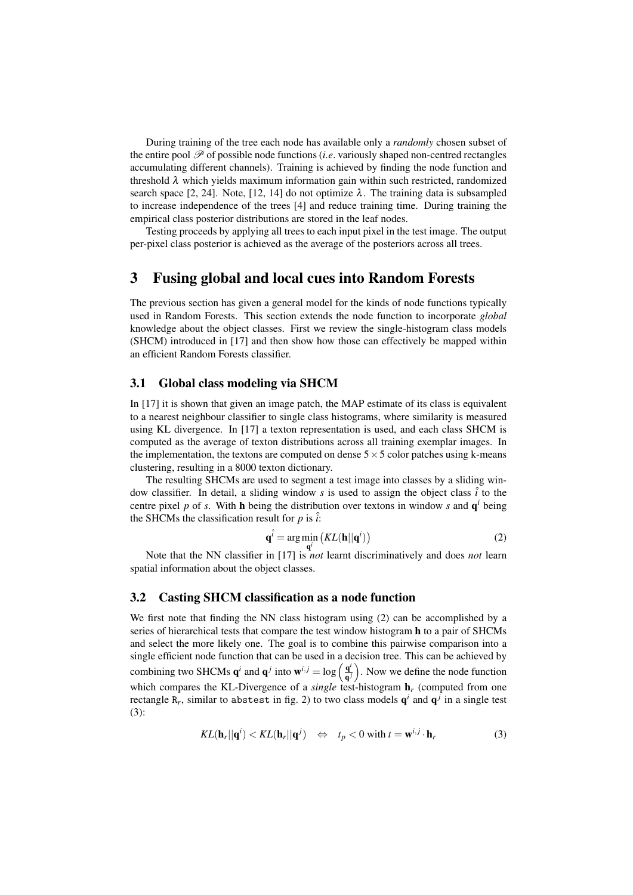During training of the tree each node has available only a *randomly* chosen subset of the entire pool  $\mathscr P$  of possible node functions *(i.e.* variously shaped non-centred rectangles accumulating different channels). Training is achieved by finding the node function and threshold  $\lambda$  which yields maximum information gain within such restricted, randomized search space [2, 24]. Note, [12, 14] do not optimize  $\lambda$ . The training data is subsampled to increase independence of the trees [4] and reduce training time. During training the empirical class posterior distributions are stored in the leaf nodes.

Testing proceeds by applying all trees to each input pixel in the test image. The output per-pixel class posterior is achieved as the average of the posteriors across all trees.

## 3 Fusing global and local cues into Random Forests

The previous section has given a general model for the kinds of node functions typically used in Random Forests. This section extends the node function to incorporate *global* knowledge about the object classes. First we review the single-histogram class models (SHCM) introduced in [17] and then show how those can effectively be mapped within an efficient Random Forests classifier.

#### 3.1 Global class modeling via SHCM

In [17] it is shown that given an image patch, the MAP estimate of its class is equivalent to a nearest neighbour classifier to single class histograms, where similarity is measured using KL divergence. In [17] a texton representation is used, and each class SHCM is computed as the average of texton distributions across all training exemplar images. In the implementation, the textons are computed on dense  $5 \times 5$  color patches using k-means clustering, resulting in a 8000 texton dictionary.

The resulting SHCMs are used to segment a test image into classes by a sliding window classifier. In detail, a sliding window  $s$  is used to assign the object class  $\hat{i}$  to the centre pixel  $p$  of  $s$ . With **h** being the distribution over textons in window  $s$  and  $q<sup>i</sup>$  being the SHCMs the classification result for  $p$  is  $\hat{i}$ :

$$
\mathbf{q}^{\hat{i}} = \arg\min_{\mathbf{q}^i} \left( KL(\mathbf{h}||\mathbf{q}^i) \right) \tag{2}
$$

Note that the NN classifier in [17] is *not* learnt discriminatively and does *not* learn spatial information about the object classes.

#### 3.2 Casting SHCM classification as a node function

We first note that finding the NN class histogram using (2) can be accomplished by a series of hierarchical tests that compare the test window histogram h to a pair of SHCMs and select the more likely one. The goal is to combine this pairwise comparison into a single efficient node function that can be used in a decision tree. This can be achieved by combining two SHCMs  $\mathbf{q}^i$  and  $\mathbf{q}^j$  into  $\mathbf{w}^{i,j} = \log \left( \frac{\mathbf{q}^i}{\alpha} \right)$  $\left(\frac{q^i}{q^j}\right)$ . Now we define the node function which compares the KL-Divergence of a *single* test-histogram  $h_r$  (computed from one rectangle  $R_r$ , similar to abstest in fig. 2) to two class models  $\mathbf{q}^i$  and  $\mathbf{q}^j$  in a single test (3):

$$
KL(\mathbf{h}_r||\mathbf{q}^i) < KL(\mathbf{h}_r||\mathbf{q}^j) \quad \Leftrightarrow \quad t_p < 0 \text{ with } t = \mathbf{w}^{i,j} \cdot \mathbf{h}_r \tag{3}
$$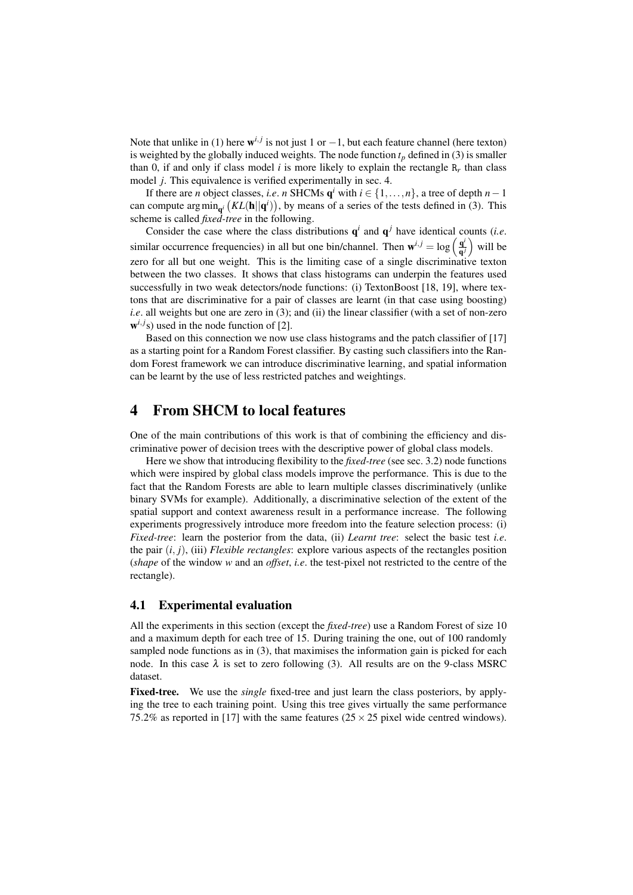Note that unlike in (1) here  $w^{i,j}$  is not just 1 or  $-1$ , but each feature channel (here texton) is weighted by the globally induced weights. The node function  $t_p$  defined in (3) is smaller than 0, if and only if class model *i* is more likely to explain the rectangle R*<sup>r</sup>* than class model *j*. This equivalence is verified experimentally in sec. 4.

If there are *n* object classes, *i.e. n* SHCMs  $q^i$  with  $i \in \{1, ..., n\}$ , a tree of depth  $n - 1$ can compute  $\arg \min_{\mathbf{q}^i} (KL(\mathbf{h}||\mathbf{q}^i))$ , by means of a series of the tests defined in (3). This scheme is called *fixed-tree* in the following.

Consider the case where the class distributions  $q^i$  and  $q^j$  have identical counts (*i.e.* similar occurrence frequencies) in all but one bin/channel. Then  $\mathbf{w}^{i,j} = \log \left( \frac{\mathbf{q}^i}{\mathbf{q}^j} \right)$  $\frac{\mathbf{q}^i}{\mathbf{q}^j}$  will be zero for all but one weight. This is the limiting case of a single discriminative texton between the two classes. It shows that class histograms can underpin the features used successfully in two weak detectors/node functions: (i) TextonBoost [18, 19], where textons that are discriminative for a pair of classes are learnt (in that case using boosting) *i.e.* all weights but one are zero in (3); and (ii) the linear classifier (with a set of non-zero  $\mathbf{w}^{i,j}$ s) used in the node function of [2].

Based on this connection we now use class histograms and the patch classifier of [17] as a starting point for a Random Forest classifier. By casting such classifiers into the Random Forest framework we can introduce discriminative learning, and spatial information can be learnt by the use of less restricted patches and weightings.

## 4 From SHCM to local features

One of the main contributions of this work is that of combining the efficiency and discriminative power of decision trees with the descriptive power of global class models.

Here we show that introducing flexibility to the *fixed-tree* (see sec. 3.2) node functions which were inspired by global class models improve the performance. This is due to the fact that the Random Forests are able to learn multiple classes discriminatively (unlike binary SVMs for example). Additionally, a discriminative selection of the extent of the spatial support and context awareness result in a performance increase. The following experiments progressively introduce more freedom into the feature selection process: (i) *Fixed-tree*: learn the posterior from the data, (ii) *Learnt tree*: select the basic test *i.e*. the pair (*i*, *j*), (iii) *Flexible rectangles*: explore various aspects of the rectangles position (*shape* of the window *w* and an *offset*, *i.e*. the test-pixel not restricted to the centre of the rectangle).

#### 4.1 Experimental evaluation

All the experiments in this section (except the *fixed-tree*) use a Random Forest of size 10 and a maximum depth for each tree of 15. During training the one, out of 100 randomly sampled node functions as in (3), that maximises the information gain is picked for each node. In this case  $\lambda$  is set to zero following (3). All results are on the 9-class MSRC dataset.

Fixed-tree. We use the *single* fixed-tree and just learn the class posteriors, by applying the tree to each training point. Using this tree gives virtually the same performance 75.2% as reported in [17] with the same features ( $25 \times 25$  pixel wide centred windows).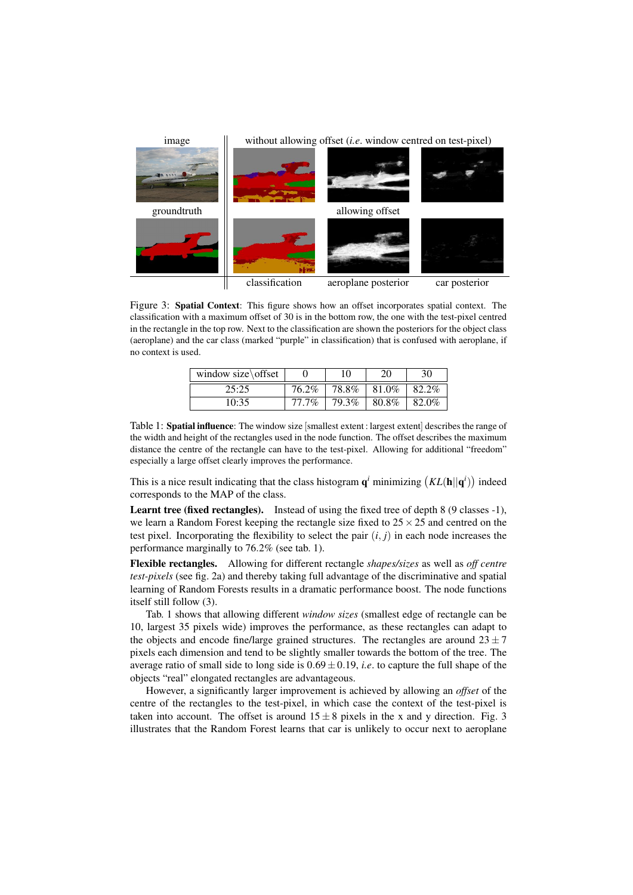

Figure 3: Spatial Context: This figure shows how an offset incorporates spatial context. The classification with a maximum offset of 30 is in the bottom row, the one with the test-pixel centred in the rectangle in the top row. Next to the classification are shown the posteriors for the object class (aeroplane) and the car class (marked "purple" in classification) that is confused with aeroplane, if no context is used.

| window size \ offset |       |       | 20    | 30    |
|----------------------|-------|-------|-------|-------|
| 25:25                | 76.2% | 78.8% | 81.0% | 82.2% |
| 10:35                | 77.7% | 79.3% | 80.8% | 82.0% |

Table 1: Spatial influence: The window size [smallest extent : largest extent] describes the range of the width and height of the rectangles used in the node function. The offset describes the maximum distance the centre of the rectangle can have to the test-pixel. Allowing for additional "freedom" especially a large offset clearly improves the performance.

This is a nice result indicating that the class histogram  $q^i$  minimizing  $(KL(h||q^i))$  indeed corresponds to the MAP of the class.

Learnt tree (fixed rectangles). Instead of using the fixed tree of depth 8 (9 classes -1), we learn a Random Forest keeping the rectangle size fixed to  $25 \times 25$  and centred on the test pixel. Incorporating the flexibility to select the pair  $(i, j)$  in each node increases the performance marginally to 76.2% (see tab. 1).

Flexible rectangles. Allowing for different rectangle *shapes/sizes* as well as *off centre test-pixels* (see fig. 2a) and thereby taking full advantage of the discriminative and spatial learning of Random Forests results in a dramatic performance boost. The node functions itself still follow (3).

Tab. 1 shows that allowing different *window sizes* (smallest edge of rectangle can be 10, largest 35 pixels wide) improves the performance, as these rectangles can adapt to the objects and encode fine/large grained structures. The rectangles are around  $23 \pm 7$ pixels each dimension and tend to be slightly smaller towards the bottom of the tree. The average ratio of small side to long side is  $0.69 \pm 0.19$ , *i.e.* to capture the full shape of the objects "real" elongated rectangles are advantageous.

However, a significantly larger improvement is achieved by allowing an *offset* of the centre of the rectangles to the test-pixel, in which case the context of the test-pixel is taken into account. The offset is around  $15 \pm 8$  pixels in the x and y direction. Fig. 3 illustrates that the Random Forest learns that car is unlikely to occur next to aeroplane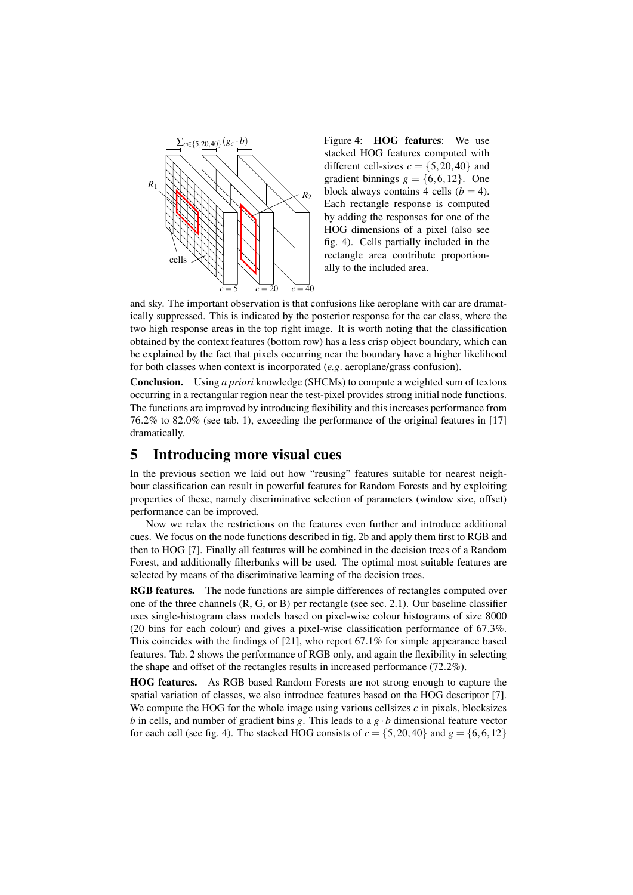

Figure 4: **HOG** features: We use stacked HOG features computed with different cell-sizes  $c = \{5, 20, 40\}$  and gradient binnings  $g = \{6, 6, 12\}$ . One block always contains 4 cells  $(b = 4)$ . Each rectangle response is computed by adding the responses for one of the HOG dimensions of a pixel (also see fig. 4). Cells partially included in the rectangle area contribute proportionally to the included area.

and sky. The important observation is that confusions like aeroplane with car are dramatically suppressed. This is indicated by the posterior response for the car class, where the two high response areas in the top right image. It is worth noting that the classification obtained by the context features (bottom row) has a less crisp object boundary, which can be explained by the fact that pixels occurring near the boundary have a higher likelihood for both classes when context is incorporated (*e.g*. aeroplane/grass confusion).

Conclusion. Using *a priori* knowledge (SHCMs) to compute a weighted sum of textons occurring in a rectangular region near the test-pixel provides strong initial node functions. The functions are improved by introducing flexibility and this increases performance from 76.2% to 82.0% (see tab. 1), exceeding the performance of the original features in [17] dramatically.

## 5 Introducing more visual cues

In the previous section we laid out how "reusing" features suitable for nearest neighbour classification can result in powerful features for Random Forests and by exploiting properties of these, namely discriminative selection of parameters (window size, offset) performance can be improved.

Now we relax the restrictions on the features even further and introduce additional cues. We focus on the node functions described in fig. 2b and apply them first to RGB and then to HOG [7]. Finally all features will be combined in the decision trees of a Random Forest, and additionally filterbanks will be used. The optimal most suitable features are selected by means of the discriminative learning of the decision trees.

RGB features. The node functions are simple differences of rectangles computed over one of the three channels (R, G, or B) per rectangle (see sec. 2.1). Our baseline classifier uses single-histogram class models based on pixel-wise colour histograms of size 8000 (20 bins for each colour) and gives a pixel-wise classification performance of 67.3%. This coincides with the findings of [21], who report 67.1% for simple appearance based features. Tab. 2 shows the performance of RGB only, and again the flexibility in selecting the shape and offset of the rectangles results in increased performance (72.2%).

HOG features. As RGB based Random Forests are not strong enough to capture the spatial variation of classes, we also introduce features based on the HOG descriptor [7]. We compute the HOG for the whole image using various cellsizes  $c$  in pixels, blocksizes *b* in cells, and number of gradient bins *g*. This leads to a *g* · *b* dimensional feature vector for each cell (see fig. 4). The stacked HOG consists of  $c = \{5, 20, 40\}$  and  $g = \{6, 6, 12\}$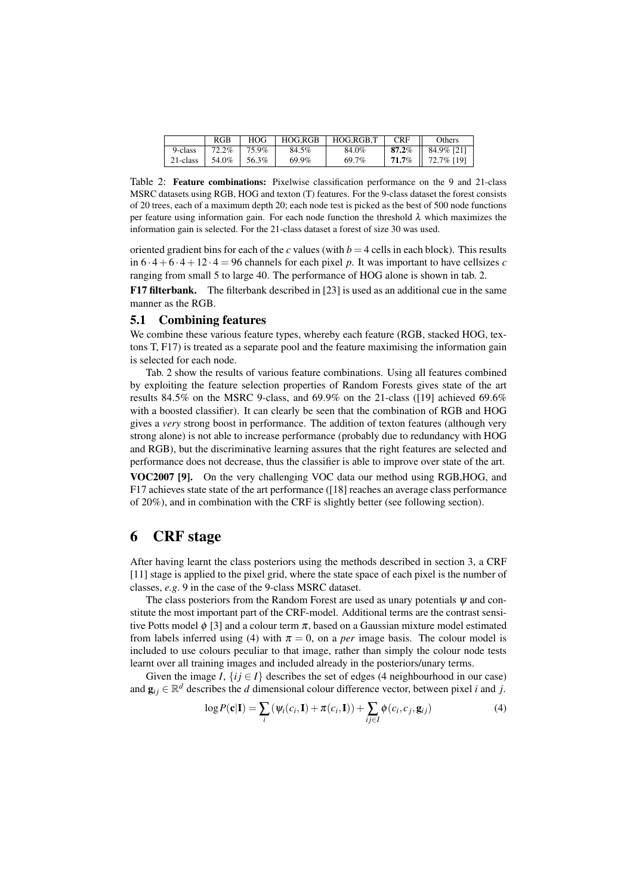|          | <b>RGB</b> | HOG           | HOG.RGB | $\parallel$ HOG.RGB.T $\parallel$ CRF | Others                         |
|----------|------------|---------------|---------|---------------------------------------|--------------------------------|
| 9-class  |            | 72.2%   75.9% | 84.5%   | 84.0%                                 | $\mid$ 87.2% $\mid$ 84.9% [21] |
| 21-class | 54.0%      | $56.3\%$      | 69.9%   | 69.7%                                 | <b>71.7</b> %   72.7% [19]     |

Table 2: Feature combinations: Pixelwise classification performance on the 9 and 21-class MSRC datasets using RGB, HOG and texton (T) features. For the 9-class dataset the forest consists of 20 trees, each of a maximum depth 20; each node test is picked as the best of 500 node functions per feature using information gain. For each node function the threshold  $\lambda$  which maximizes the information gain is selected. For the 21-class dataset a forest of size 30 was used.

oriented gradient bins for each of the  $c$  values (with  $b = 4$  cells in each block). This results in  $6 \cdot 4 + 6 \cdot 4 + 12 \cdot 4 = 96$  channels for each pixel p. It was important to have cellsizes c ranging from small 5 to large 40. The performance of HOG alone is shown in tab. 2.

F17 filterbank. The filterbank described in [23] is used as an additional cue in the same manner as the RGB.

#### 5.1 Combining features

We combine these various feature types, whereby each feature (RGB, stacked HOG, textons T, F17) is treated as a separate pool and the feature maximising the information gain is selected for each node.

Tab. 2 show the results of various feature combinations. Using all features combined by exploiting the feature selection properties of Random Forests gives state of the art results 84.5% on the MSRC 9-class, and 69.9% on the 21-class ([19] achieved 69.6% with a boosted classifier). It can clearly be seen that the combination of RGB and HOG gives a *very* strong boost in performance. The addition of texton features (although very strong alone) is not able to increase performance (probably due to redundancy with HOG and RGB), but the discriminative learning assures that the right features are selected and performance does not decrease, thus the classifier is able to improve over state of the art.

VOC2007 [9]. On the very challenging VOC data our method using RGB,HOG, and F17 achieves state state of the art performance ([18] reaches an average class performance of 20%), and in combination with the CRF is slightly better (see following section).

## 6 CRF stage

After having learnt the class posteriors using the methods described in section 3, a CRF [11] stage is applied to the pixel grid, where the state space of each pixel is the number of classes, *e.g*. 9 in the case of the 9-class MSRC dataset.

The class posteriors from the Random Forest are used as unary potentials  $\psi$  and constitute the most important part of the CRF-model. Additional terms are the contrast sensitive Potts model  $\phi$  [3] and a colour term  $\pi$ , based on a Gaussian mixture model estimated from labels inferred using (4) with  $\pi = 0$ , on a *per* image basis. The colour model is included to use colours peculiar to that image, rather than simply the colour node tests learnt over all training images and included already in the posteriors/unary terms.

Given the image *I*,  $\{ij \in I\}$  describes the set of edges (4 neighbourhood in our case) and  $\mathbf{g}_{ij} \in \mathbb{R}^d$  describes the *d* dimensional colour difference vector, between pixel *i* and *j*.

$$
\log P(\mathbf{c}|\mathbf{I}) = \sum_{i} (\psi_i(c_i, \mathbf{I}) + \pi(c_i, \mathbf{I})) + \sum_{ij \in I} \phi(c_i, c_j, \mathbf{g}_{ij})
$$
(4)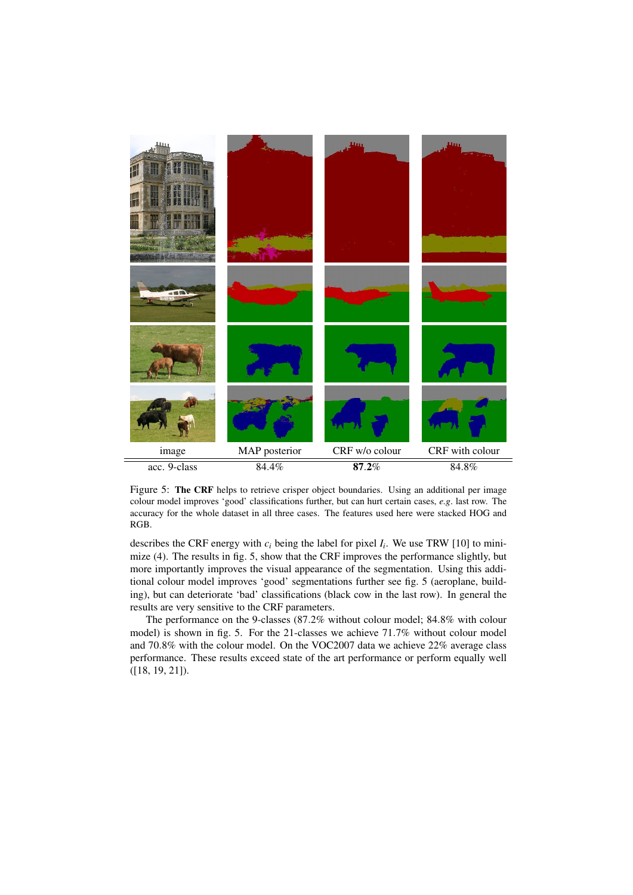

Figure 5: The CRF helps to retrieve crisper object boundaries. Using an additional per image colour model improves 'good' classifications further, but can hurt certain cases, *e.g*. last row. The accuracy for the whole dataset in all three cases. The features used here were stacked HOG and RGB.

describes the CRF energy with  $c_i$  being the label for pixel  $I_i$ . We use TRW [10] to minimize (4). The results in fig. 5, show that the CRF improves the performance slightly, but more importantly improves the visual appearance of the segmentation. Using this additional colour model improves 'good' segmentations further see fig. 5 (aeroplane, building), but can deteriorate 'bad' classifications (black cow in the last row). In general the results are very sensitive to the CRF parameters.

The performance on the 9-classes (87.2% without colour model; 84.8% with colour model) is shown in fig. 5. For the 21-classes we achieve 71.7% without colour model and 70.8% with the colour model. On the VOC2007 data we achieve 22% average class performance. These results exceed state of the art performance or perform equally well ([18, 19, 21]).